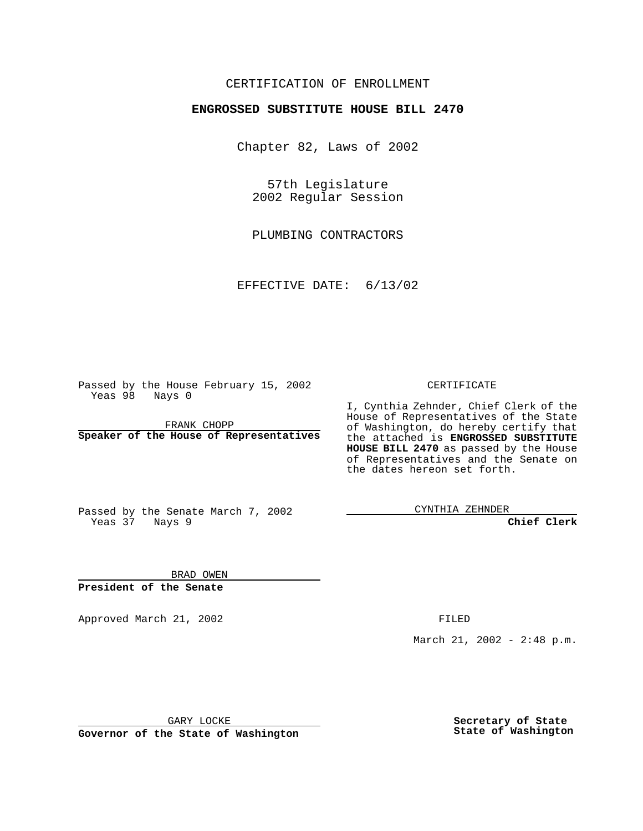## CERTIFICATION OF ENROLLMENT

## **ENGROSSED SUBSTITUTE HOUSE BILL 2470**

Chapter 82, Laws of 2002

57th Legislature 2002 Regular Session

PLUMBING CONTRACTORS

EFFECTIVE DATE: 6/13/02

Passed by the House February 15, 2002 Yeas 98 Nays 0

FRANK CHOPP **Speaker of the House of Representatives** CERTIFICATE

I, Cynthia Zehnder, Chief Clerk of the House of Representatives of the State of Washington, do hereby certify that the attached is **ENGROSSED SUBSTITUTE HOUSE BILL 2470** as passed by the House of Representatives and the Senate on the dates hereon set forth.

Passed by the Senate March 7, 2002 Yeas 37 Nays 9

CYNTHIA ZEHNDER

**Chief Clerk**

BRAD OWEN **President of the Senate**

Approved March 21, 2002 **FILED** 

March 21, 2002 - 2:48 p.m.

GARY LOCKE

**Governor of the State of Washington**

**Secretary of State State of Washington**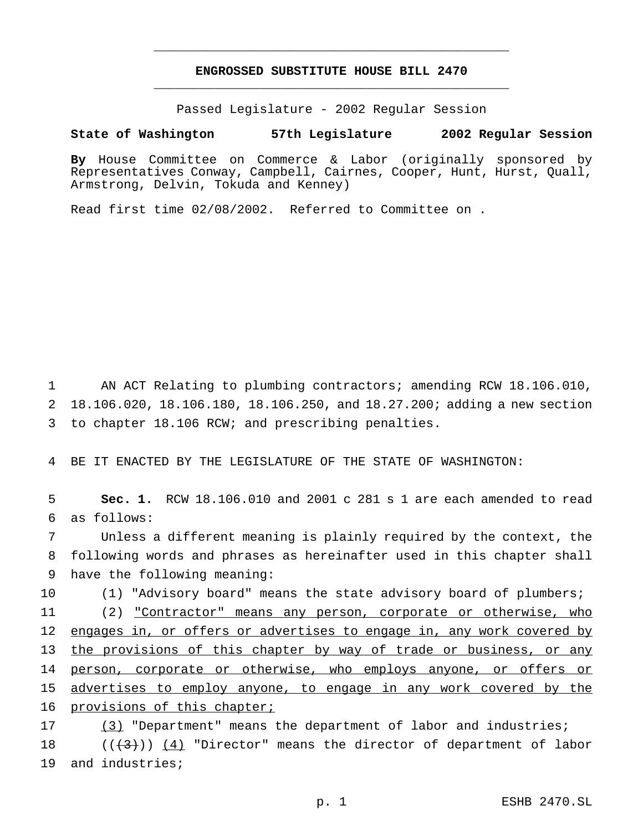## **ENGROSSED SUBSTITUTE HOUSE BILL 2470** \_\_\_\_\_\_\_\_\_\_\_\_\_\_\_\_\_\_\_\_\_\_\_\_\_\_\_\_\_\_\_\_\_\_\_\_\_\_\_\_\_\_\_\_\_\_\_

\_\_\_\_\_\_\_\_\_\_\_\_\_\_\_\_\_\_\_\_\_\_\_\_\_\_\_\_\_\_\_\_\_\_\_\_\_\_\_\_\_\_\_\_\_\_\_

Passed Legislature - 2002 Regular Session

## **State of Washington 57th Legislature 2002 Regular Session**

**By** House Committee on Commerce & Labor (originally sponsored by Representatives Conway, Campbell, Cairnes, Cooper, Hunt, Hurst, Quall, Armstrong, Delvin, Tokuda and Kenney)

Read first time 02/08/2002. Referred to Committee on .

1 AN ACT Relating to plumbing contractors; amending RCW 18.106.010, 2 18.106.020, 18.106.180, 18.106.250, and 18.27.200; adding a new section 3 to chapter 18.106 RCW; and prescribing penalties.

4 BE IT ENACTED BY THE LEGISLATURE OF THE STATE OF WASHINGTON:

5 **Sec. 1.** RCW 18.106.010 and 2001 c 281 s 1 are each amended to read 6 as follows:

7 Unless a different meaning is plainly required by the context, the 8 following words and phrases as hereinafter used in this chapter shall 9 have the following meaning:

10 (1) "Advisory board" means the state advisory board of plumbers;

11 (2) "Contractor" means any person, corporate or otherwise, who 12 engages in, or offers or advertises to engage in, any work covered by 13 the provisions of this chapter by way of trade or business, or any 14 person, corporate or otherwise, who employs anyone, or offers or 15 advertises to employ anyone, to engage in any work covered by the 16 provisions of this chapter;

17 (3) "Department" means the department of labor and industries; 18  $((+3))$   $(4)$  "Director" means the director of department of labor 19 and industries;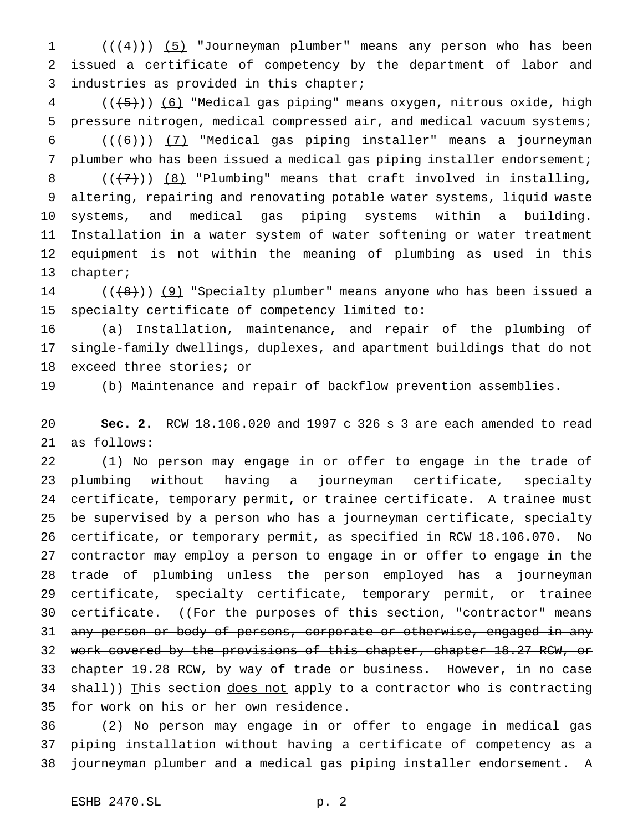1 (((4))) (5) "Journeyman plumber" means any person who has been issued a certificate of competency by the department of labor and industries as provided in this chapter;

 (( $\overline{(+5)}$ )) (6) "Medical gas piping" means oxygen, nitrous oxide, high pressure nitrogen, medical compressed air, and medical vacuum systems;  $((+6))$   $(7)$  "Medical gas piping installer" means a journeyman plumber who has been issued a medical gas piping installer endorsement;  $((+7))$   $(8)$  "Plumbing" means that craft involved in installing, altering, repairing and renovating potable water systems, liquid waste systems, and medical gas piping systems within a building. Installation in a water system of water softening or water treatment equipment is not within the meaning of plumbing as used in this chapter;

14  $((+8))$  (9) "Specialty plumber" means anyone who has been issued a specialty certificate of competency limited to:

 (a) Installation, maintenance, and repair of the plumbing of single-family dwellings, duplexes, and apartment buildings that do not exceed three stories; or

(b) Maintenance and repair of backflow prevention assemblies.

 **Sec. 2.** RCW 18.106.020 and 1997 c 326 s 3 are each amended to read as follows:

 (1) No person may engage in or offer to engage in the trade of plumbing without having a journeyman certificate, specialty certificate, temporary permit, or trainee certificate. A trainee must be supervised by a person who has a journeyman certificate, specialty certificate, or temporary permit, as specified in RCW 18.106.070. No contractor may employ a person to engage in or offer to engage in the trade of plumbing unless the person employed has a journeyman certificate, specialty certificate, temporary permit, or trainee 30 certificate. ((For the purposes of this section, "contractor" means 31 any person or body of persons, corporate or otherwise, engaged in any 32 work covered by the provisions of this chapter, chapter 18.27 RCW, or 33 chapter 19.28 RCW, by way of trade or business. However, in no case 34 shall)) This section does not apply to a contractor who is contracting for work on his or her own residence.

 (2) No person may engage in or offer to engage in medical gas piping installation without having a certificate of competency as a journeyman plumber and a medical gas piping installer endorsement. A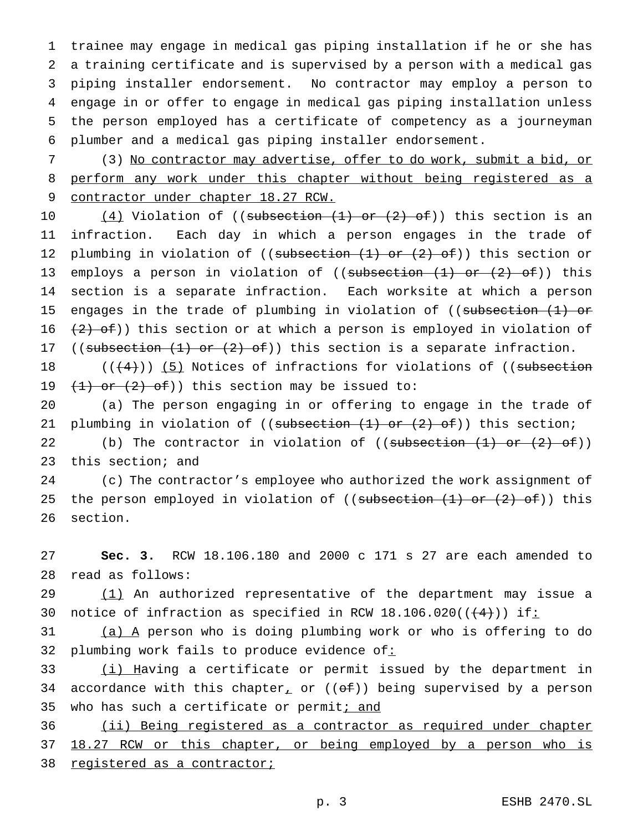trainee may engage in medical gas piping installation if he or she has a training certificate and is supervised by a person with a medical gas piping installer endorsement. No contractor may employ a person to engage in or offer to engage in medical gas piping installation unless the person employed has a certificate of competency as a journeyman plumber and a medical gas piping installer endorsement.

7 (3) No contractor may advertise, offer to do work, submit a bid, or 8 perform any work under this chapter without being registered as a 9 contractor under chapter 18.27 RCW.

10  $(4)$  Violation of ((subsection  $(1)$  or  $(2)$  of)) this section is an 11 infraction. Each day in which a person engages in the trade of 12 plumbing in violation of ((subsection (1) or (2) of)) this section or 13 employs a person in violation of ((subsection (1) or (2) of)) this 14 section is a separate infraction. Each worksite at which a person 15 engages in the trade of plumbing in violation of ((subsection (1) or 16  $(2)$  of)) this section or at which a person is employed in violation of 17 ((subsection  $(1)$  or  $(2)$  of)) this section is a separate infraction.

18  $((+4))$  (5) Notices of infractions for violations of ((subsection 19  $(1)$  or  $(2)$  of)) this section may be issued to:

20 (a) The person engaging in or offering to engage in the trade of 21 plumbing in violation of ((subsection  $(1)$  or  $(2)$  of)) this section;

22 (b) The contractor in violation of  $((\text{subsection} (1) \text{ or } (2) \text{ of}))$ 23 this section; and

24 (c) The contractor's employee who authorized the work assignment of 25 the person employed in violation of ((subsection  $(1)$  or  $(2)$  of)) this 26 section.

27 **Sec. 3.** RCW 18.106.180 and 2000 c 171 s 27 are each amended to 28 read as follows:

29 (1) An authorized representative of the department may issue a 30 notice of infraction as specified in RCW  $18.106.020((\leftarrow 4))$  if:

31 (a) A person who is doing plumbing work or who is offering to do 32 plumbing work fails to produce evidence of:

33 (i) Having a certificate or permit issued by the department in 34 accordance with this chapter<sub>1</sub> or  $((\theta \pm))$  being supervised by a person 35 who has such a certificate or permiti and

36 (ii) Being registered as a contractor as required under chapter 37 18.27 RCW or this chapter, or being employed by a person who is 38 registered as a contractor;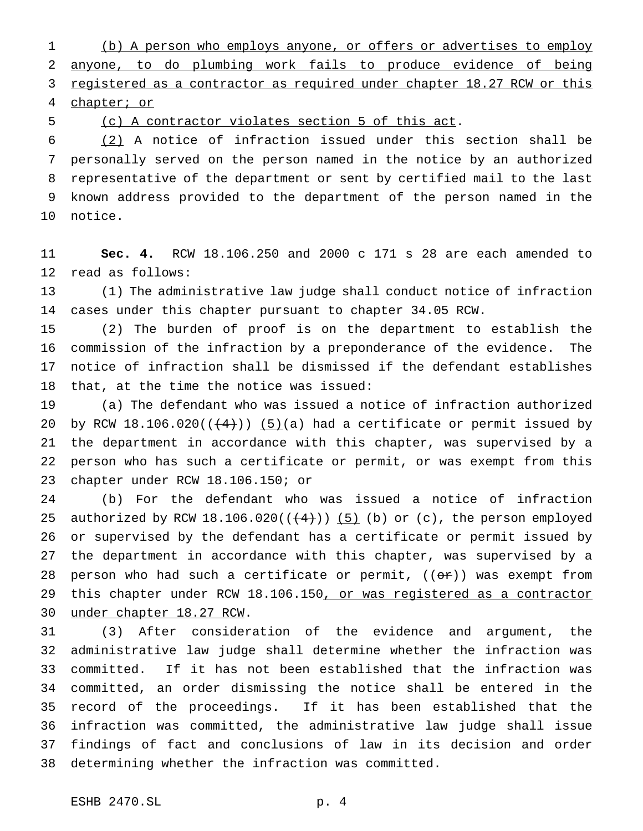(b) A person who employs anyone, or offers or advertises to employ anyone, to do plumbing work fails to produce evidence of being 3 registered as a contractor as required under chapter 18.27 RCW or this chapter; or

(c) A contractor violates section 5 of this act.

 (2) A notice of infraction issued under this section shall be personally served on the person named in the notice by an authorized representative of the department or sent by certified mail to the last known address provided to the department of the person named in the notice.

 **Sec. 4.** RCW 18.106.250 and 2000 c 171 s 28 are each amended to read as follows:

 (1) The administrative law judge shall conduct notice of infraction cases under this chapter pursuant to chapter 34.05 RCW.

 (2) The burden of proof is on the department to establish the commission of the infraction by a preponderance of the evidence. The notice of infraction shall be dismissed if the defendant establishes that, at the time the notice was issued:

 (a) The defendant who was issued a notice of infraction authorized 20 by RCW 18.106.020( $(\frac{4}{1})$ ) (5)(a) had a certificate or permit issued by the department in accordance with this chapter, was supervised by a person who has such a certificate or permit, or was exempt from this chapter under RCW 18.106.150; or

 (b) For the defendant who was issued a notice of infraction 25 authorized by RCW 18.106.020( $($ +4)))  $(5)$  (b) or (c), the person employed or supervised by the defendant has a certificate or permit issued by the department in accordance with this chapter, was supervised by a 28 person who had such a certificate or permit,  $((\Theta \rightarrow F))$  was exempt from 29 this chapter under RCW 18.106.150, or was registered as a contractor under chapter 18.27 RCW.

 (3) After consideration of the evidence and argument, the administrative law judge shall determine whether the infraction was committed. If it has not been established that the infraction was committed, an order dismissing the notice shall be entered in the record of the proceedings. If it has been established that the infraction was committed, the administrative law judge shall issue findings of fact and conclusions of law in its decision and order determining whether the infraction was committed.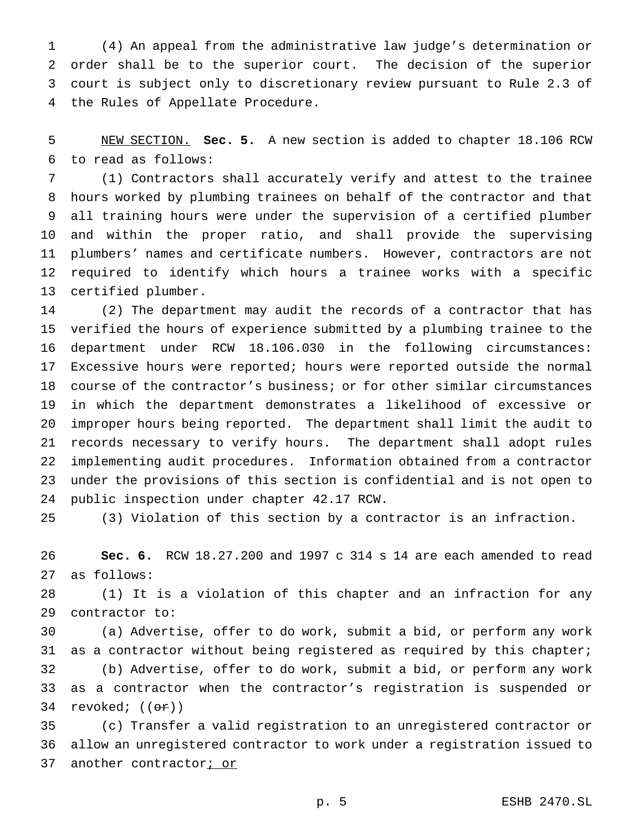(4) An appeal from the administrative law judge's determination or order shall be to the superior court. The decision of the superior court is subject only to discretionary review pursuant to Rule 2.3 of the Rules of Appellate Procedure.

 NEW SECTION. **Sec. 5.** A new section is added to chapter 18.106 RCW to read as follows:

 (1) Contractors shall accurately verify and attest to the trainee hours worked by plumbing trainees on behalf of the contractor and that all training hours were under the supervision of a certified plumber and within the proper ratio, and shall provide the supervising plumbers' names and certificate numbers. However, contractors are not required to identify which hours a trainee works with a specific certified plumber.

 (2) The department may audit the records of a contractor that has verified the hours of experience submitted by a plumbing trainee to the department under RCW 18.106.030 in the following circumstances: Excessive hours were reported; hours were reported outside the normal course of the contractor's business; or for other similar circumstances in which the department demonstrates a likelihood of excessive or improper hours being reported. The department shall limit the audit to records necessary to verify hours. The department shall adopt rules implementing audit procedures. Information obtained from a contractor under the provisions of this section is confidential and is not open to public inspection under chapter 42.17 RCW.

(3) Violation of this section by a contractor is an infraction.

 **Sec. 6.** RCW 18.27.200 and 1997 c 314 s 14 are each amended to read as follows:

 (1) It is a violation of this chapter and an infraction for any contractor to:

 (a) Advertise, offer to do work, submit a bid, or perform any work as a contractor without being registered as required by this chapter; (b) Advertise, offer to do work, submit a bid, or perform any work as a contractor when the contractor's registration is suspended or 34 revoked; ((<del>or</del>))

 (c) Transfer a valid registration to an unregistered contractor or allow an unregistered contractor to work under a registration issued to 37 another contractor<sub>i Or</sub>